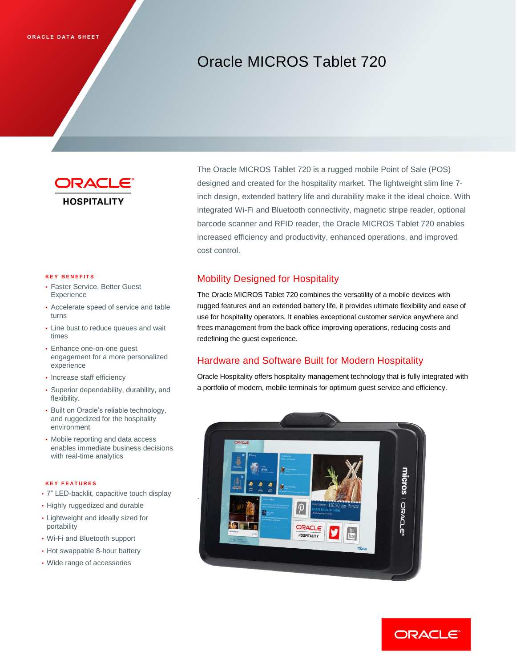# Oracle MICROS Tablet 720



#### **K E Y B E N E F I T S**

- Faster Service, Better Guest Experience
- Accelerate speed of service and table turns
- Line bust to reduce queues and wait times
- Enhance one-on-one guest engagement for a more personalized experience
- Increase staff efficiency
- Superior dependability, durability, and flexibility.
- Built on Oracle's reliable technology, and ruggedized for the hospitality environment
- Mobile reporting and data access enables immediate business decisions with real-time analytics

#### **K E Y F E A T U R E S**

- 7" LED-backlit, capacitive touch display
- Highly ruggedized and durable
- Lightweight and ideally sized for portability
- Wi-Fi and Bluetooth support
- Hot swappable 8-hour battery
- Wide range of accessories

The Oracle MICROS Tablet 720 is a rugged mobile Point of Sale (POS) designed and created for the hospitality market. The lightweight slim line 7 inch design, extended battery life and durability make it the ideal choice. With integrated Wi-Fi and Bluetooth connectivity, magnetic stripe reader, optional barcode scanner and RFID reader, the Oracle MICROS Tablet 720 enables increased efficiency and productivity, enhanced operations, and improved cost control.

## Mobility Designed for Hospitality

The Oracle MICROS Tablet 720 combines the versatility of a mobile devices with rugged features and an extended battery life, it provides ultimate flexibility and ease of use for hospitality operators. It enables exceptional customer service anywhere and frees management from the back office improving operations, reducing costs and redefining the guest experience.

## Hardware and Software Built for Modern Hospitality

Oracle Hospitality offers hospitality management technology that is fully integrated with a portfolio of modern, mobile terminals for optimum guest service and efficiency.



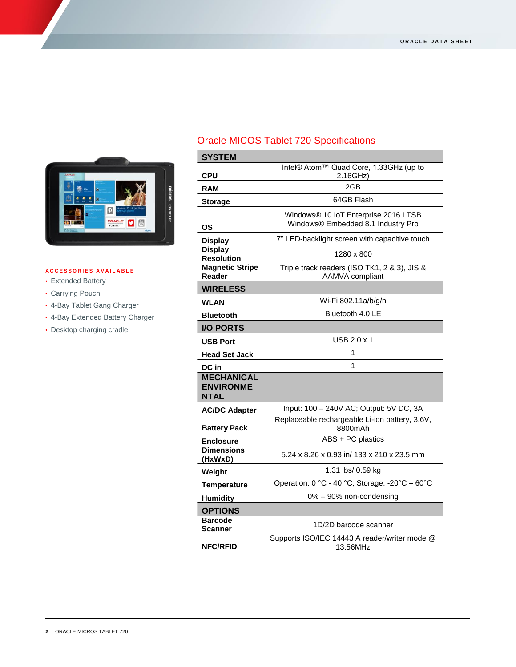

## **A C C E S S O R I E S A V A I L A B L E**

- Extended Battery
- Carrying Pouch
- 4-Bay Tablet Gang Charger
- 4-Bay Extended Battery Charger
- Desktop charging cradle

## Oracle MICOS Tablet 720 Specifications

| <b>SYSTEM</b>                                 |                                                                 |
|-----------------------------------------------|-----------------------------------------------------------------|
|                                               | Intel® Atom™ Quad Core, 1.33GHz (up to                          |
| <b>CPU</b>                                    | 2.16GHz)                                                        |
| <b>RAM</b>                                    | 2GB                                                             |
| <b>Storage</b>                                | 64GB Flash                                                      |
|                                               | Windows® 10 IoT Enterprise 2016 LTSB                            |
| OS                                            | Windows® Embedded 8.1 Industry Pro                              |
| <b>Display</b>                                | 7" LED-backlight screen with capacitive touch                   |
| <b>Display</b><br><b>Resolution</b>           | 1280 x 800                                                      |
| <b>Magnetic Stripe</b><br>Reader              | Triple track readers (ISO TK1, 2 & 3), JIS &<br>AAMVA compliant |
| <b>WIRELESS</b>                               |                                                                 |
| <b>WLAN</b>                                   | Wi-Fi 802.11a/b/g/n                                             |
| <b>Bluetooth</b>                              | Bluetooth 4.0 LE                                                |
| <b>I/O PORTS</b>                              |                                                                 |
| USB Port                                      | USB 2.0 x 1                                                     |
| Head Set Jack                                 | 1                                                               |
| DC in                                         | 1                                                               |
| <b>MECHANICAL</b><br><b>ENVIRONME</b><br>NTAL |                                                                 |
| <b>AC/DC Adapter</b>                          | Input: 100 - 240V AC; Output: 5V DC, 3A                         |
| <b>Battery Pack</b>                           | Replaceable rechargeable Li-ion battery, 3.6V,<br>8800mAh       |
| <b>Enclosure</b>                              | ABS + PC plastics                                               |
| <b>Dimensions</b><br>(HxWxD)                  | 5.24 x 8.26 x 0.93 in/ 133 x 210 x 23.5 mm                      |
| Weight                                        | 1.31 lbs/ 0.59 kg                                               |
| <b>Temperature</b>                            | Operation: 0 °C - 40 °C; Storage: -20°C - 60°C                  |
| <b>Humidity</b>                               | 0% - 90% non-condensing                                         |
| <b>OPTIONS</b>                                |                                                                 |
| <b>Barcode</b><br>Scanner                     | 1D/2D barcode scanner                                           |
| <b>NFC/RFID</b>                               | Supports ISO/IEC 14443 A reader/writer mode @<br>13.56MHz       |